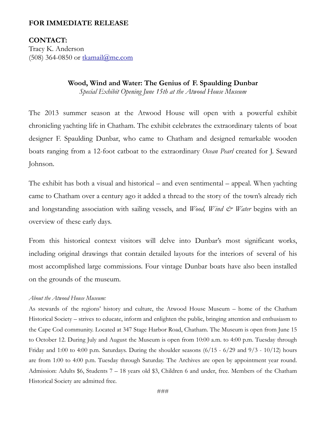### **FOR IMMEDIATE RELEASE**

# **CONTACT:**

Tracy K. Anderson (508) 364-0850 or [tkamail@me.com](mailto:tkamail@me.com)

#### **Wood, Wind and Water: The Genius of F. Spaulding Dunbar**

*Special Exhibit Opening June 15th at the Atwood House Museum*

The 2013 summer season at the Atwood House will open with a powerful exhibit chronicling yachting life in Chatham. The exhibit celebrates the extraordinary talents of boat designer F. Spaulding Dunbar, who came to Chatham and designed remarkable wooden boats ranging from a 12-foot catboat to the extraordinary *Ocean Pearl* created for J. Seward Johnson.

The exhibit has both a visual and historical – and even sentimental – appeal. When yachting came to Chatham over a century ago it added a thread to the story of the town's already rich and longstanding association with sailing vessels, and *Wood, Wind & Water* begins with an overview of these early days.

From this historical context visitors will delve into Dunbar's most significant works, including original drawings that contain detailed layouts for the interiors of several of his most accomplished large commissions. Four vintage Dunbar boats have also been installed on the grounds of the museum.

#### *About the Atwood House Museum:*

As stewards of the regions' history and culture, the Atwood House Museum – home of the Chatham Historical Society – strives to educate, inform and enlighten the public, bringing attention and enthusiasm to the Cape Cod community. Located at 347 Stage Harbor Road, Chatham. The Museum is open from June 15 to October 12. During July and August the Museum is open from 10:00 a.m. to 4:00 p.m. Tuesday through Friday and 1:00 to 4:00 p.m. Saturdays. During the shoulder seasons  $(6/15 - 6/29$  and  $9/3 - 10/12)$  hours are from 1:00 to 4:00 p.m. Tuesday through Saturday. The Archives are open by appointment year round. Admission: Adults \$6, Students 7 – 18 years old \$3, Children 6 and under, free. Members of the Chatham Historical Society are admitted free.